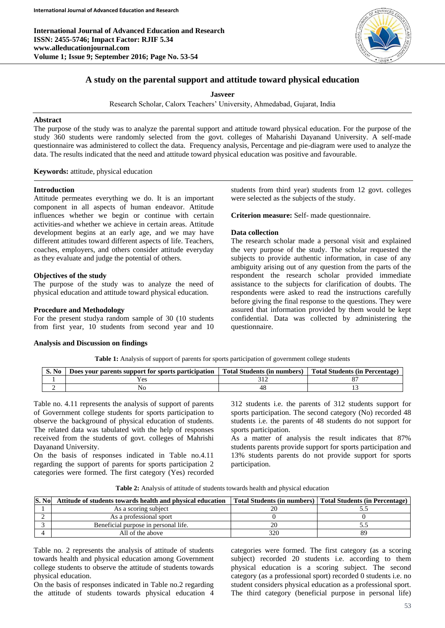

# **A study on the parental support and attitude toward physical education**

**Jasveer**

Research Scholar, Calorx Teachers' University, Ahmedabad, Gujarat, India

# **Abstract**

The purpose of the study was to analyze the parental support and attitude toward physical education. For the purpose of the study 360 students were randomly selected from the govt. colleges of Maharishi Dayanand University. A self-made questionnaire was administered to collect the data. Frequency analysis, Percentage and pie-diagram were used to analyze the data. The results indicated that the need and attitude toward physical education was positive and favourable.

**Keywords:** attitude, physical education

#### **Introduction**

Attitude permeates everything we do. It is an important component in all aspects of human endeavor. Attitude influences whether we begin or continue with certain activities-and whether we achieve in certain areas. Attitude development begins at an early age, and we may have different attitudes toward different aspects of life. Teachers, coaches, employers, and others consider attitude everyday as they evaluate and judge the potential of others.

#### **Objectives of the study**

The purpose of the study was to analyze the need of physical education and attitude toward physical education.

### **Procedure and Methodology**

For the present studya random sample of 30 (10 students from first year, 10 students from second year and 10

#### **Analysis and Discussion on findings**

students from third year) students from 12 govt. colleges were selected as the subjects of the study.

**Criterion measure:** Self- made questionnaire.

### **Data collection**

The research scholar made a personal visit and explained the very purpose of the study. The scholar requested the subjects to provide authentic information, in case of any ambiguity arising out of any question from the parts of the respondent the research scholar provided immediate assistance to the subjects for clarification of doubts. The respondents were asked to read the instructions carefully before giving the final response to the questions. They were assured that information provided by them would be kept confidential. Data was collected by administering the questionnaire.

**Table 1:** Analysis of support of parents for sports participation of government college students

| S. No | Does your parents support for sports participation | Total Students (in numbers) | <b>Total Students (in Percentage)</b> |
|-------|----------------------------------------------------|-----------------------------|---------------------------------------|
|       | ٬ρς                                                |                             |                                       |
|       |                                                    |                             |                                       |

Table no. 4.11 represents the analysis of support of parents of Government college students for sports participation to observe the background of physical education of students. The related data was tabulated with the help of responses received from the students of govt. colleges of Mahrishi Dayanand University.

On the basis of responses indicated in Table no.4.11 regarding the support of parents for sports participation 2 categories were formed. The first category (Yes) recorded 312 students i.e. the parents of 312 students support for sports participation. The second category (No) recorded 48 students i.e. the parents of 48 students do not support for sports participation.

As a matter of analysis the result indicates that 87% students parents provide support for sports participation and 13% students parents do not provide support for sports participation.

| Table 2: Analysis of attitude of students towards health and physical education |  |  |
|---------------------------------------------------------------------------------|--|--|
|---------------------------------------------------------------------------------|--|--|

| S. No | Attitude of students towards health and physical education |     | Total Students (in numbers) Total Students (in Percentage) |
|-------|------------------------------------------------------------|-----|------------------------------------------------------------|
|       | As a scoring subject                                       |     |                                                            |
|       | As a professional sport                                    |     |                                                            |
|       | Beneficial purpose in personal life.                       |     |                                                            |
|       | All of the above                                           | 320 |                                                            |

Table no. 2 represents the analysis of attitude of students towards health and physical education among Government college students to observe the attitude of students towards physical education.

On the basis of responses indicated in Table no.2 regarding the attitude of students towards physical education 4

categories were formed. The first category (as a scoring subject) recorded 20 students i.e. according to them physical education is a scoring subject. The second category (as a professional sport) recorded 0 students i.e. no student considers physical education as a professional sport. The third category (beneficial purpose in personal life)